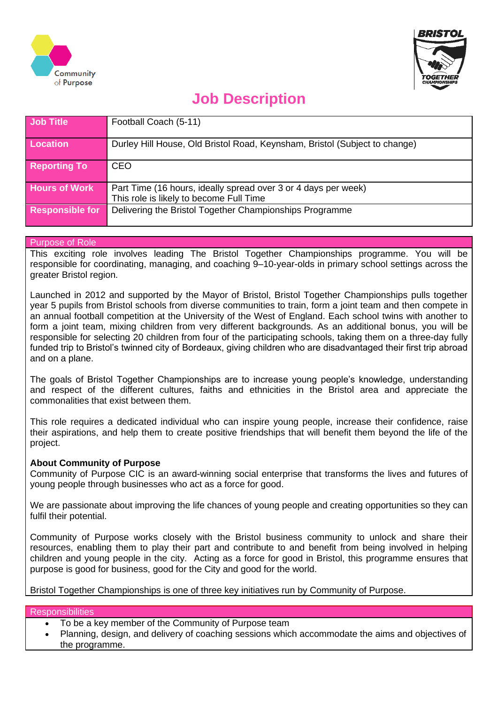



# **Job Description**

| Job Title              | Football Coach (5-11)                                                                                     |
|------------------------|-----------------------------------------------------------------------------------------------------------|
| <b>Location</b>        | Durley Hill House, Old Bristol Road, Keynsham, Bristol (Subject to change)                                |
| <b>Reporting To</b>    | CEO                                                                                                       |
| <b>Hours of Work</b>   | Part Time (16 hours, ideally spread over 3 or 4 days per week)<br>This role is likely to become Full Time |
| <b>Responsible for</b> | Delivering the Bristol Together Championships Programme                                                   |

## Purpose of Role

This exciting role involves leading The Bristol Together Championships programme. You will be responsible for coordinating, managing, and coaching 9–10-year-olds in primary school settings across the greater Bristol region.

Launched in 2012 and supported by the Mayor of Bristol, Bristol Together Championships pulls together year 5 pupils from Bristol schools from diverse communities to train, form a joint team and then compete in an annual football competition at the University of the West of England. Each school twins with another to form a joint team, mixing children from very different backgrounds. As an additional bonus, you will be responsible for selecting 20 children from four of the participating schools, taking them on a three-day fully funded trip to Bristol's twinned city of Bordeaux, giving children who are disadvantaged their first trip abroad and on a plane.

The goals of Bristol Together Championships are to increase young people's knowledge, understanding and respect of the different cultures, faiths and ethnicities in the Bristol area and appreciate the commonalities that exist between them.

This role requires a dedicated individual who can inspire young people, increase their confidence, raise their aspirations, and help them to create positive friendships that will benefit them beyond the life of the project.

## **About Community of Purpose**

Community of Purpose CIC is an award-winning social enterprise that transforms the lives and futures of young people through businesses who act as a force for good.

We are passionate about improving the life chances of young people and creating opportunities so they can fulfil their potential.

Community of Purpose works closely with the Bristol business community to unlock and share their resources, enabling them to play their part and contribute to and benefit from being involved in helping children and young people in the city. Acting as a force for good in Bristol, this programme ensures that purpose is good for business, good for the City and good for the world.

Bristol Together Championships is one of three key initiatives run by Community of Purpose.

### **Responsibilities**

- To be a key member of the Community of Purpose team
- Planning, design, and delivery of coaching sessions which accommodate the aims and objectives of the programme.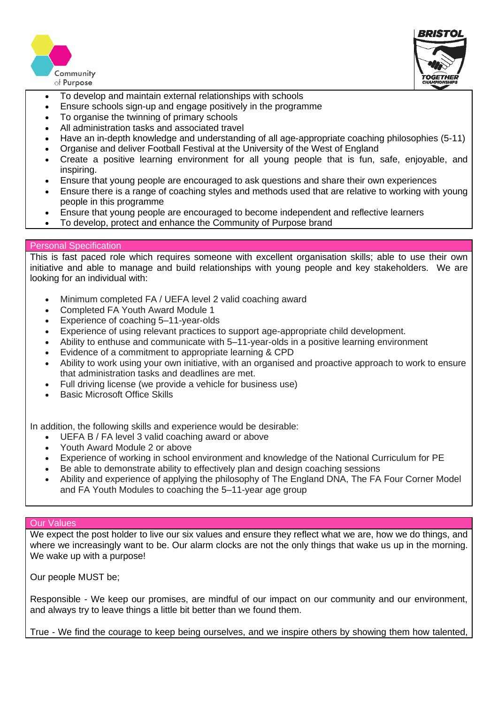



- l • To develop and maintain external relationships with schools
- Ensure schools sign-up and engage positively in the programme
- To organise the twinning of primary schools
- All administration tasks and associated travel
- Have an in-depth knowledge and understanding of all age-appropriate coaching philosophies (5-11)
- Organise and deliver Football Festival at the University of the West of England
- Create a positive learning environment for all young people that is fun, safe, enjoyable, and inspiring.
- Ensure that young people are encouraged to ask questions and share their own experiences
- Ensure there is a range of coaching styles and methods used that are relative to working with young people in this programme
- Ensure that young people are encouraged to become independent and reflective learners
- To develop, protect and enhance the Community of Purpose brand

### Personal Specification

This is fast paced role which requires someone with excellent organisation skills; able to use their own initiative and able to manage and build relationships with young people and key stakeholders. We are looking for an individual with:

- Minimum completed FA / UEFA level 2 valid coaching award
- Completed FA Youth Award Module 1
- Experience of coaching 5–11-year-olds
- Experience of using relevant practices to support age-appropriate child development.
- Ability to enthuse and communicate with 5–11-year-olds in a positive learning environment
- Evidence of a commitment to appropriate learning & CPD
- Ability to work using your own initiative, with an organised and proactive approach to work to ensure that administration tasks and deadlines are met.
- Full driving license (we provide a vehicle for business use)
- **Basic Microsoft Office Skills**

In addition, the following skills and experience would be desirable:

- UEFA B / FA level 3 valid coaching award or above
- Youth Award Module 2 or above
- Experience of working in school environment and knowledge of the National Curriculum for PE
- Be able to demonstrate ability to effectively plan and design coaching sessions
- Ability and experience of applying the philosophy of The England DNA, The FA Four Corner Model and FA Youth Modules to coaching the 5–11-year age group

### Our Values

We expect the post holder to live our six values and ensure they reflect what we are, how we do things, and where we increasingly want to be. Our alarm clocks are not the only things that wake us up in the morning. We wake up with a purpose!

Our people MUST be;

Responsible - We keep our promises, are mindful of our impact on our community and our environment, and always try to leave things a little bit better than we found them.

True - We find the courage to keep being ourselves, and we inspire others by showing them how talented,